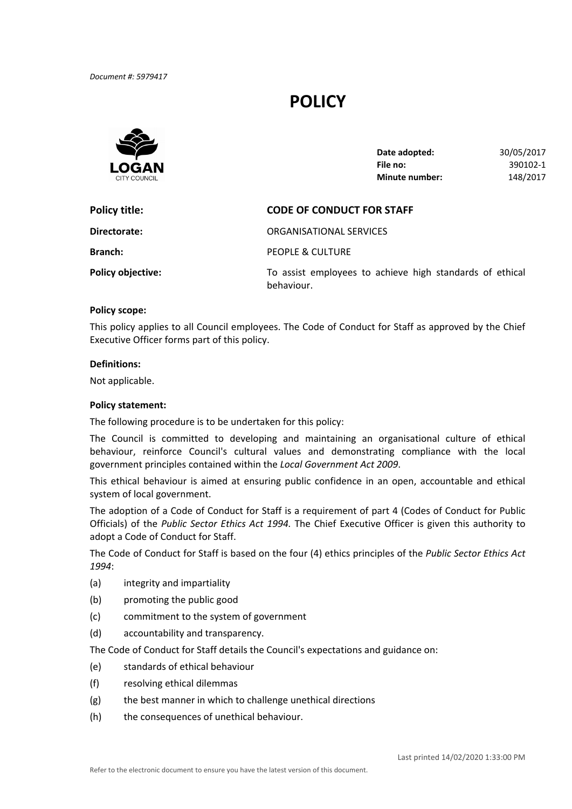# **POLICY**



| Date adopted:         | 30/05/2017 |
|-----------------------|------------|
| File no:              | 390102-1   |
| <b>Minute number:</b> | 148/2017   |

| Policy title:            | <b>CODE OF CONDUCT FOR STAFF</b>                                       |  |
|--------------------------|------------------------------------------------------------------------|--|
| Directorate:             | ORGANISATIONAL SERVICES                                                |  |
| <b>Branch:</b>           | PEOPLE & CULTURE                                                       |  |
| <b>Policy objective:</b> | To assist employees to achieve high standards of ethical<br>behaviour. |  |

#### **Policy scope:**

 This policy applies to all Council employees. The Code of Conduct for Staff as approved by the Chief Executive Officer forms part of this policy.

#### **Definitions:**

Not applicable.

### **Policy statement:**

The following procedure is to be undertaken for this policy:

 The Council is committed to developing and maintaining an organisational culture of ethical behaviour, reinforce Council's cultural values and demonstrating compliance with the local  government principles contained within the *Local Government Act 2009*.

 This ethical behaviour is aimed at ensuring public confidence in an open, accountable and ethical system of local government.

 The adoption of a Code of Conduct for Staff is a requirement of part 4 (Codes of Conduct for Public  Officials) of the *Public Sector Ethics Act 1994.* The Chief Executive Officer is given this authority to adopt a Code of Conduct for Staff.

  The Code of Conduct for Staff is based on the four (4) ethics principles of the *Public Sector Ethics Act 1994*:

- (a) integrity and impartiality
- (b) promoting the public good
- (c) commitment to the system of government
- (d) accountability and transparency.

The Code of Conduct for Staff details the Council's expectations and guidance on:

- (e) standards of ethical behaviour
- (f) resolving ethical dilemmas
- (g) the best manner in which to challenge unethical directions
- (h) the consequences of unethical behaviour.